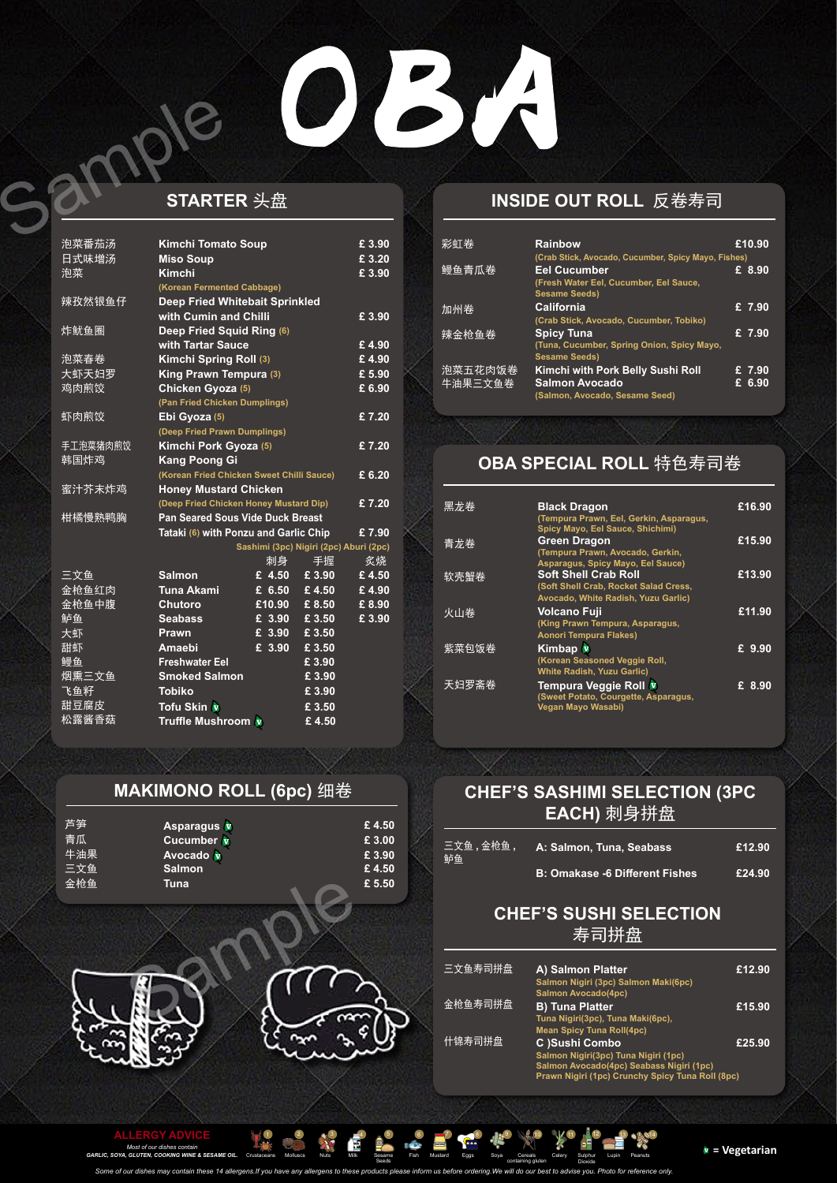## 034

### **STARTER** 头盘 Sample

| 泡菜番茄汤<br>日式味增汤 | <b>Kimchi Tomato Soup</b><br><b>Miso Soup</b> |        |                                        | £ 3.90<br>£ 3.20 |
|----------------|-----------------------------------------------|--------|----------------------------------------|------------------|
| 泡菜             | <b>Kimchi</b>                                 |        |                                        | $E$ 3.90         |
|                | (Korean Fermented Cabbage)                    |        |                                        |                  |
| 辣孜然银鱼仔         | <b>Deep Fried Whitebait Sprinkled</b>         |        |                                        |                  |
|                | with Cumin and Chilli                         |        |                                        | £3.90            |
| 炸鱿鱼圈           | Deep Fried Squid Ring (6)                     |        |                                        |                  |
|                | with Tartar Sauce                             |        |                                        | £4.90            |
| 泡菜春卷           | Kimchi Spring Roll (3)                        |        |                                        | £4.90            |
| 大虾天妇罗          | King Prawn Tempura (3)                        |        |                                        | £5.90            |
| 鸡肉煎饺           | Chicken Gyoza (5)                             |        |                                        | £ 6.90           |
|                | (Pan Fried Chicken Dumplings)                 |        |                                        |                  |
| 虾肉煎饺           | Ebi Gyoza (5)                                 |        |                                        | £7.20            |
|                | (Deep Fried Prawn Dumplings)                  |        |                                        |                  |
| 手工泡菜猪肉煎饺       | Kimchi Pork Gyoza (5)                         |        |                                        | £7.20            |
| 韩国炸鸡           | <b>Kang Poong Gi</b>                          |        |                                        |                  |
|                | (Korean Fried Chicken Sweet Chilli Sauce)     |        |                                        | £ 6.20           |
| 蜜汁芥末炸鸡         | <b>Honey Mustard Chicken</b>                  |        |                                        |                  |
|                | (Deep Fried Chicken Honey Mustard Dip)        |        |                                        | £7.20            |
| 柑橘慢熟鸭胸         | <b>Pan Seared Sous Vide Duck Breast</b>       |        |                                        |                  |
|                | Tataki (6) with Ponzu and Garlic Chip         |        |                                        | £7.90            |
|                |                                               |        | Sashimi (3pc) Nigiri (2pc) Aburi (2pc) |                  |
|                |                                               | 刺身     | 手握                                     | 炙烧               |
| 三文鱼            | <b>Salmon</b>                                 | £ 4.50 | £ 3.90                                 | £4.50            |
| 金枪鱼红肉          | <b>Tuna Akami</b>                             | £ 6.50 | £4.50                                  | £4.90            |
| 金枪鱼中腹          | <b>Chutoro</b>                                | £10.90 | £ 8.50                                 | £8.90            |
| 鲈鱼             | <b>Seabass</b>                                | £ 3.90 | £ 3.50                                 | £3.90            |
| 大虾             | <b>Prawn</b>                                  | £ 3.90 | £ 3.50                                 |                  |
| 甜虾             | <b>Amaebi</b>                                 | £ 3.90 | £ 3.50                                 |                  |
| 鳗鱼             | <b>Freshwater Eel</b>                         |        | £ 3.90                                 |                  |
| 烟熏三文鱼          | <b>Smoked Salmon</b>                          |        | £3.90                                  |                  |
| 飞鱼籽            | <b>Tobiko</b>                                 |        | £3.90                                  |                  |
| 甜豆腐皮           | Tofu Skin v                                   |        | £ 3.50                                 |                  |
| 松露酱香菇          | <b>Truffle Mushroom</b>                       |        | £4.50                                  |                  |

### **MAKIMONO ROLL (6pc)** 细卷

| 芦笋  | Asparagus v   | £4.50  |
|-----|---------------|--------|
| 青瓜  | Cucumber v    | £ 3.00 |
| 牛油果 | Avocado v     | £ 3.90 |
| 三文鱼 | <b>Salmon</b> | £4.50  |
| 金枪鱼 | Tuna          | £ 5.50 |

### **INSIDE OUT ROLL** 反卷寿司

| 彩虹卷                | <b>Rainbow</b><br>(Crab Stick, Avocado, Cucumber, Spicy Mayo, Fishes)                        | £10.90           |
|--------------------|----------------------------------------------------------------------------------------------|------------------|
| 鳗鱼青瓜卷              | <b>Eel Cucumber</b><br>(Fresh Water Eel, Cucumber, Eel Sauce,<br><b>Sesame Seeds)</b>        | £ 8.90           |
| 加州卷                | <b>California</b><br>(Crab Stick, Avocado, Cucumber, Tobiko)                                 | £ 7.90           |
| 辣金枪鱼卷              | <b>Spicy Tuna</b><br>(Tuna, Cucumber, Spring Onion, Spicy Mayo,<br><b>Sesame Seeds)</b>      | £ 7.90           |
| 泡菜五花肉饭卷<br>牛油果三文鱼卷 | Kimchi with Pork Belly Sushi Roll<br><b>Salmon Avocado</b><br>(Salmon, Avocado, Sesame Seed) | £ 7.90<br>£ 6.90 |

### **OBA SPECIAL ROLL** 特色寿司卷

| 黑龙卷   | <b>Black Dragon</b><br>(Tempura Prawn, Eel, Gerkin, Asparagus,<br>Spicy Mayo, Eel Sauce, Shichimi)          | £16.90              |
|-------|-------------------------------------------------------------------------------------------------------------|---------------------|
| 青龙卷   | <b>Green Dragon</b><br>(Tempura Prawn, Avocado, Gerkin,<br>Asparagus, Spicy Mayo, Eel Sauce)                | £15.90              |
| 软壳蟹卷  | <b>Soft Shell Crab Roll</b><br>(Soft Shell Crab, Rocket Salad Cress,<br>Avocado, White Radish, Yuzu Garlic) | £13.90              |
| 火山卷   | <b>Volcano Fuji</b><br>(King Prawn Tempura, Asparagus,<br><b>Aonori Tempura Flakes)</b>                     | E11.90              |
| 紫菜包饭卷 | <b>Kimbap</b> V<br>(Korean Seasoned Veggie Roll,<br><b>White Radish, Yuzu Garlic)</b>                       | £ 9.90              |
| 天妇罗斋卷 | Tempura Veggie Roll V<br>(Sweet Potato, Courgette, Asparagus,<br>Vegan Mayo Wasabi)                         | $\overline{E}$ 8.90 |



*Some of our dishes may contain these 14 allergens.If you have any allergens to these products please inform us before ordering.We will do our best to advise you. Photo for reference only.*

#### **CHEF'S SASHIMI SELECTION (3PC EACH)** 刺身拼盘

### **CHEF'S SUSHI SELECTION**  寿司拼盘

| 三文鱼 , 金枪鱼 ,<br>鲈鱼 | ,A: Salmon, Tuna, Se <u>abass</u> '   | £12.90 |
|-------------------|---------------------------------------|--------|
|                   | <b>B: Omakase -6 Different Fishes</b> | £24.90 |

| 三文鱼寿司拼盘 | A) Salmon Platter<br>Salmon Nigiri (3pc) Salmon Maki(6pc)<br><b>Salmon Avocado(4pc)</b>      | £12.90 |
|---------|----------------------------------------------------------------------------------------------|--------|
| 金枪鱼寿司拼盘 | <b>B) Tuna Platter</b><br>Tuna Nigiri(3pc), Tuna Maki(6pc),                                  | £15.90 |
| 什锦寿司拼盘  | <b>Mean Spicy Tuna Roll(4pc)</b><br>C )Sushi Combo<br>Salmon Nigiri(3pc) Tuna Nigiri (1pc)   | £25.90 |
|         | Salmon Avocado(4pc) Seabass Nigiri (1pc)<br>Prawn Nigiri (1pc) Crunchy Spicy Tuna Roll (8pc) |        |